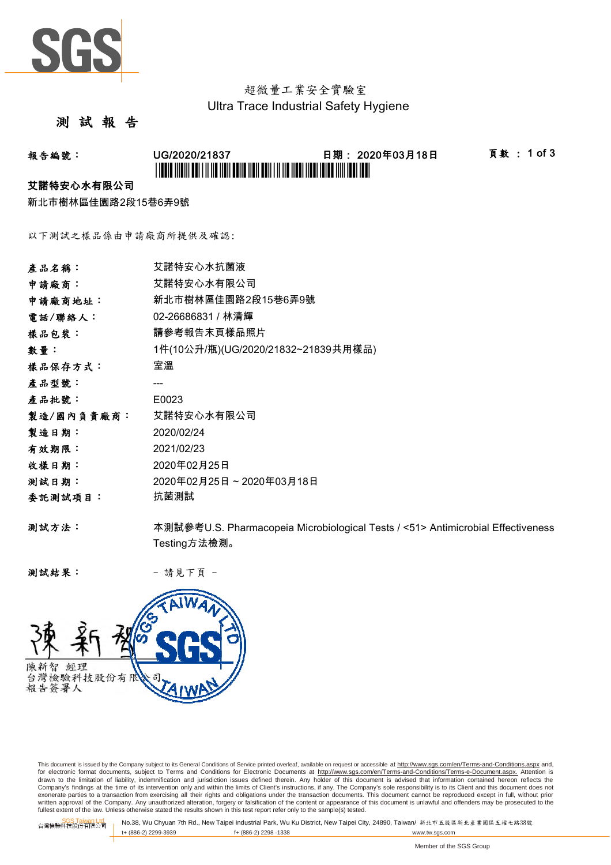

## 超微量工業安全實驗室 Ultra Trace Industrial Safety Hygiene

## 測 試 報 告

## 報告編號: UG/2020/21837 日期: 2020年03月18日 頁數 : 1 of 3 \*L'INDIA INDIA DOLLAR INDIA DOLLO NON DOLLAR IN NO NOON NADA INDO NIN 1981 IDA

#### 艾諾特安心水有限公司

新北市樹林區佳園路2段15巷6弄9號

以下測試之樣品係由申請廠商所提供及確認:

| 產品名稱:      | 艾諾特安心水抗菌液                                                                       |
|------------|---------------------------------------------------------------------------------|
| 申請廠商:      | 艾諾特安心水有限公司                                                                      |
| 申請廠商地址:    | 新北市樹林區佳園路2段15巷6弄9號                                                              |
| 電話/聯絡人:    | 02-26686831 / 林清輝                                                               |
| 樣品包裝:      | 請參考報告末頁樣品照片                                                                     |
| 數量:        | 1件(10公升/瓶)(UG/2020/21832~21839共用樣品)                                             |
| 樣品保存方式:    | 室溫                                                                              |
| 產品型號:      |                                                                                 |
| 產品批號:      | E0023                                                                           |
| 製造/國內負責廠商: | 艾諾特安心水有限公司                                                                      |
| 製造日期:      | 2020/02/24                                                                      |
| 有效期限:      | 2021/02/23                                                                      |
| 收樣日期:      | 2020年02月25日                                                                     |
| 测試日期:      | 2020年02月25日~2020年03月18日                                                         |
| 委託測試項目:    | 抗菌測試                                                                            |
| 测試方法:      | 本測試參考U.S. Pharmacopeia Microbiological Tests / <51> Antimicrobial Effectiveness |
|            | Testing方法檢測。                                                                    |

测試結果: - 請見下頁 -



This document is issued by the Company subject to its General Conditions of Service printed overleaf, available on request or accessible at http://www.sgs.com/en/Terms-and-Conditions.aspx and, for electronic format documents, subject to Terms and Conditions for Electronic Documents at <u>http://www.sqs.com/en/Terms-and-Conditions/Terms-e-Document.aspx.</u> Attention is<br>drawn to the limitation of liability, indemnific exonerate parties to a transaction from exercising all their rights and obligations under the transaction documents. This document cannot be reproduced except in full, without prior prior<br>written approval of the Company. A

SGS Taiwan Ltd. No.38, Wu Chyuan 7th Rd., New Taipei Industrial Park, Wu Ku District, New Taipei City, 24890, Taiwan/ 新北市五股區新北產業園區五權七路38號<br>| t+ (886-2) 2299-3939 f+ (886-2) 2298 -1338 www.tw. t+ (886-2) 2299-3939 f+ (886-2) 2298 -1338 www.tw.sgs.com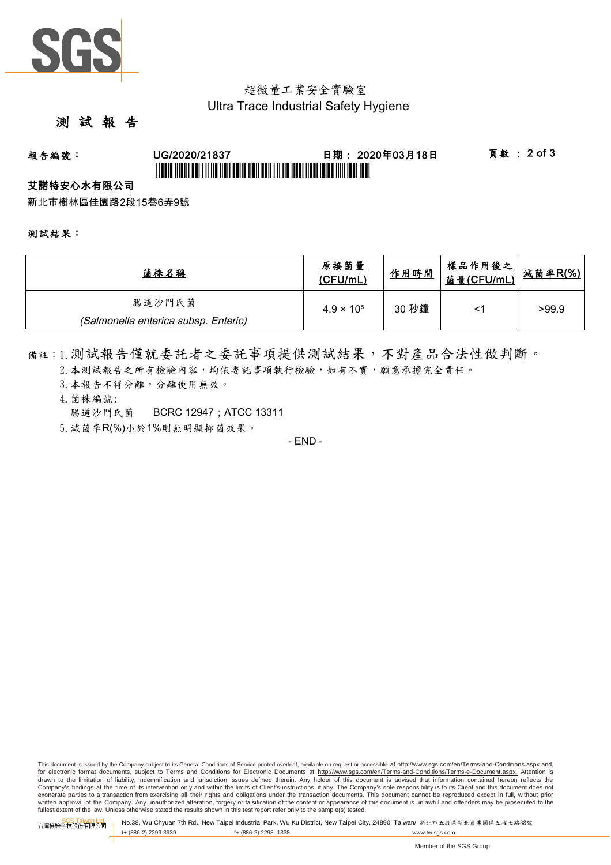

## 超微量工業安全實驗室 Ultra Trace Industrial Safety Hygiene

## 測 試 報 告

# 報告編號: UG/2020/21837 日期: 2020年03月18日 頁數 : 2 of 3 \*UGBIT INDIVI ABI I II IID IIDII BANA NAN ABII I II IIB IIBAI IIBAI IBIB INII IBAI IBI

### 艾諾特安心水有限公司

新北市樹林區佳園路2段15巷6弄9號

測試結果:

| 菌株名稱                                 | 原接菌量<br>(CFU/mL)    | 作用時間  | <u>樣品作用後之</u><br><u>菌量(CFU/mL)</u> | 减菌率R(%) |
|--------------------------------------|---------------------|-------|------------------------------------|---------|
| 腸道沙門氏菌                               | $4.9 \times 10^{5}$ | 30 秒鐘 |                                    | >99.9   |
| (Salmonella enterica subsp. Enteric) |                     |       |                                    |         |

備註:1.測試報告僅就委託者之委託事項提供測試結果,不對產品合法性做判斷。

- 2. 本測試報告之所有檢驗內容,均依委託事項執行檢驗,如有不實,願意承擔完全責任。
- 3. 本報告不得分離,分離使用無效。
- 4.菌株編號: 腸道沙門氏菌 BCRC 12947;ATCC 13311
- 5.減菌率R(%)小於1%則無明顯抑菌效果。

- END -

This document is issued by the Company subject to its General Conditions of Service printed overleaf, available on request or accessible at http://www.sqs.com/en/Terms-and-Conditions.aspx and, for electronic format documents, subject to Terms and Conditions for Electronic Documents at http://www.sgs.com/en/Terms-and-Conditions/Terms-e-Document.aspx. Attention is drawn to the limitation of liability, indemnification and jurisdiction issues defined therein. Any holder of this document is advised that information contained hereon reflects the<br>Company's findings at the time of its int exonerate parties to a transaction from exercising all their rights and obligations under the transaction documents. This document cannot be reproduced except in full, without prior written approval of the Company. Any unauthorized alteration, forgery or falsification of the content or appearance of this document is unlawful and offenders may be prosecuted to the<br>fullest extent of the law. Unless othe